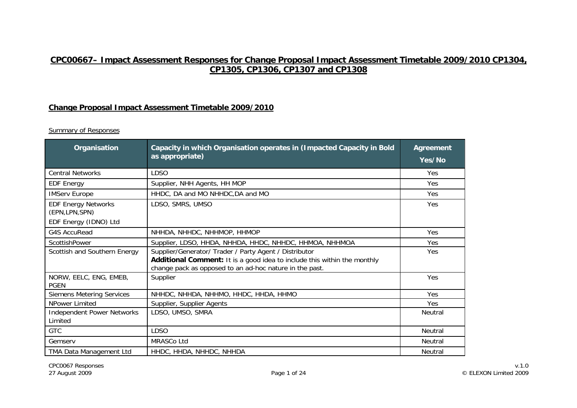# **CPC00667– Impact Assessment Responses for Change Proposal Impact Assessment Timetable 2009/2010 CP1304, CP1305, CP1306, CP1307 and CP1308**

## **Change Proposal Impact Assessment Timetable 2009/2010**

| <b>Organisation</b>                                                    | Capacity in which Organisation operates in (Impacted Capacity in Bold<br>as appropriate)                                                                                                      | <b>Agreement</b><br>Yes/No |
|------------------------------------------------------------------------|-----------------------------------------------------------------------------------------------------------------------------------------------------------------------------------------------|----------------------------|
| <b>Central Networks</b>                                                | <b>LDSO</b>                                                                                                                                                                                   | Yes                        |
| <b>EDF Energy</b>                                                      | Supplier, NHH Agents, HH MOP                                                                                                                                                                  | Yes                        |
| <b>IMServ Europe</b>                                                   | HHDC, DA and MO NHHDC, DA and MO                                                                                                                                                              | Yes                        |
| <b>EDF Energy Networks</b><br>(EPN, LPN, SPN)<br>EDF Energy (IDNO) Ltd | LDSO, SMRS, UMSO                                                                                                                                                                              | Yes                        |
| G4S AccuRead                                                           | NHHDA, NHHDC, NHHMOP, HHMOP                                                                                                                                                                   | Yes                        |
| ScottishPower                                                          | Supplier, LDSO, HHDA, NHHDA, HHDC, NHHDC, HHMOA, NHHMOA                                                                                                                                       | Yes                        |
| Scottish and Southern Energy                                           | Supplier/Generator/ Trader / Party Agent / Distributor<br>Additional Comment: It is a good idea to include this within the monthly<br>change pack as opposed to an ad-hoc nature in the past. | Yes                        |
| NORW, EELC, ENG, EMEB,<br><b>PGEN</b>                                  | Supplier                                                                                                                                                                                      | Yes                        |
| <b>Siemens Metering Services</b>                                       | NHHDC, NHHDA, NHHMO, HHDC, HHDA, HHMO                                                                                                                                                         | Yes                        |
| NPower Limited                                                         | Supplier, Supplier Agents                                                                                                                                                                     | Yes                        |
| <b>Independent Power Networks</b><br>Limited                           | LDSO, UMSO, SMRA                                                                                                                                                                              | Neutral                    |
| <b>GTC</b>                                                             | <b>LDSO</b>                                                                                                                                                                                   | Neutral                    |
| Gemserv                                                                | MRASCo Ltd                                                                                                                                                                                    | Neutral                    |
| <b>TMA Data Management Ltd</b>                                         | HHDC, HHDA, NHHDC, NHHDA                                                                                                                                                                      | Neutral                    |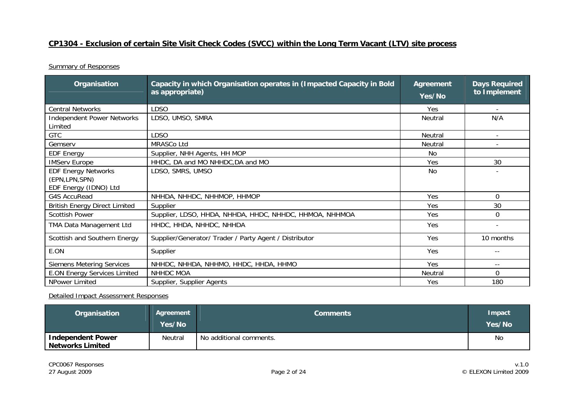## **CP1304 - Exclusion of certain Site Visit Check Codes (SVCC) within the Long Term Vacant (LTV) site process**

**Summary of Responses** 

| Organisation                                                           | Capacity in which Organisation operates in (Impacted Capacity in Bold<br>as appropriate) | <b>Agreement</b><br>Yes/No | <b>Days Required</b><br>to Implement |
|------------------------------------------------------------------------|------------------------------------------------------------------------------------------|----------------------------|--------------------------------------|
| <b>Central Networks</b>                                                | <b>LDSO</b>                                                                              | Yes                        |                                      |
| <b>Independent Power Networks</b><br>Limited                           | LDSO, UMSO, SMRA                                                                         | Neutral                    | N/A                                  |
| <b>GTC</b>                                                             | LDSO                                                                                     | Neutral                    |                                      |
| Gemserv                                                                | MRASCo Ltd                                                                               | Neutral                    |                                      |
| <b>EDF Energy</b>                                                      | Supplier, NHH Agents, HH MOP                                                             | No                         |                                      |
| <b>IMServ Europe</b>                                                   | HHDC, DA and MO NHHDC, DA and MO                                                         | Yes                        | 30                                   |
| <b>EDF Energy Networks</b><br>(EPN, LPN, SPN)<br>EDF Energy (IDNO) Ltd | LDSO, SMRS, UMSO                                                                         | No                         |                                      |
| <b>G4S AccuRead</b>                                                    | NHHDA, NHHDC, NHHMOP, HHMOP                                                              | Yes                        | $\Omega$                             |
| <b>British Energy Direct Limited</b>                                   | Supplier                                                                                 | Yes                        | 30                                   |
| <b>Scottish Power</b>                                                  | Supplier, LDSO, HHDA, NHHDA, HHDC, NHHDC, HHMOA, NHHMOA                                  | Yes                        | 0                                    |
| TMA Data Management Ltd                                                | HHDC, HHDA, NHHDC, NHHDA                                                                 | Yes                        | $\overline{\phantom{a}}$             |
| Scottish and Southern Energy                                           | Supplier/Generator/ Trader / Party Agent / Distributor                                   | Yes                        | 10 months                            |
| E.ON                                                                   | Supplier                                                                                 | Yes                        | $- -$                                |
| <b>Siemens Metering Services</b>                                       | NHHDC, NHHDA, NHHMO, HHDC, HHDA, HHMO                                                    | Yes                        | $- -$                                |
| <b>E.ON Energy Services Limited</b>                                    | NHHDC MOA                                                                                | Neutral                    | $\Omega$                             |
| NPower Limited                                                         | Supplier, Supplier Agents                                                                | Yes                        | 180                                  |

| Organisation                                        | Agreement<br>Yes/No | <b>Comments</b>         | Impact<br>Yes/No |
|-----------------------------------------------------|---------------------|-------------------------|------------------|
| <b>Independent Power</b><br><b>Networks Limited</b> | Neutral             | No additional comments. | No               |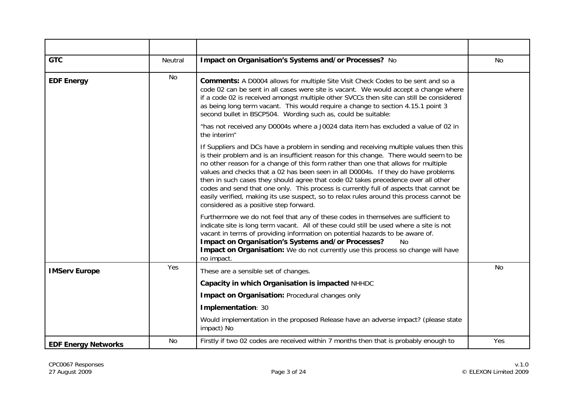| <b>GTC</b>                 | Neutral   | Impact on Organisation's Systems and/or Processes? No                                                                                                                                                                                                                                                                                                                                                                                                                                                                                                                                                                                                                            | No  |
|----------------------------|-----------|----------------------------------------------------------------------------------------------------------------------------------------------------------------------------------------------------------------------------------------------------------------------------------------------------------------------------------------------------------------------------------------------------------------------------------------------------------------------------------------------------------------------------------------------------------------------------------------------------------------------------------------------------------------------------------|-----|
| <b>EDF Energy</b>          | No        | Comments: A D0004 allows for multiple Site Visit Check Codes to be sent and so a<br>code 02 can be sent in all cases were site is vacant. We would accept a change where<br>if a code 02 is received amongst multiple other SVCCs then site can still be considered<br>as being long term vacant. This would require a change to section 4.15.1 point 3<br>second bullet in BSCP504. Wording such as, could be suitable:                                                                                                                                                                                                                                                         |     |
|                            |           | "has not received any D0004s where a J0024 data item has excluded a value of 02 in<br>the interim"                                                                                                                                                                                                                                                                                                                                                                                                                                                                                                                                                                               |     |
|                            |           | If Suppliers and DCs have a problem in sending and receiving multiple values then this<br>is their problem and is an insufficient reason for this change. There would seem to be<br>no other reason for a change of this form rather than one that allows for multiple<br>values and checks that a 02 has been seen in all D0004s. If they do have problems<br>then in such cases they should agree that code 02 takes precedence over all other<br>codes and send that one only. This process is currently full of aspects that cannot be<br>easily verified, making its use suspect, so to relax rules around this process cannot be<br>considered as a positive step forward. |     |
|                            |           | Furthermore we do not feel that any of these codes in themselves are sufficient to<br>indicate site is long term vacant. All of these could still be used where a site is not<br>vacant in terms of providing information on potential hazards to be aware of.<br>Impact on Organisation's Systems and/or Processes?<br><b>No</b><br>Impact on Organisation: We do not currently use this process so change will have<br>no impact.                                                                                                                                                                                                                                              |     |
| <b>IMServ Europe</b>       | Yes       | These are a sensible set of changes.                                                                                                                                                                                                                                                                                                                                                                                                                                                                                                                                                                                                                                             | No. |
|                            |           | Capacity in which Organisation is impacted NHHDC                                                                                                                                                                                                                                                                                                                                                                                                                                                                                                                                                                                                                                 |     |
|                            |           | Impact on Organisation: Procedural changes only                                                                                                                                                                                                                                                                                                                                                                                                                                                                                                                                                                                                                                  |     |
|                            |           | Implementation: 30                                                                                                                                                                                                                                                                                                                                                                                                                                                                                                                                                                                                                                                               |     |
|                            |           | Would implementation in the proposed Release have an adverse impact? (please state<br>impact) No                                                                                                                                                                                                                                                                                                                                                                                                                                                                                                                                                                                 |     |
| <b>EDF Energy Networks</b> | <b>No</b> | Firstly if two 02 codes are received within 7 months then that is probably enough to                                                                                                                                                                                                                                                                                                                                                                                                                                                                                                                                                                                             | Yes |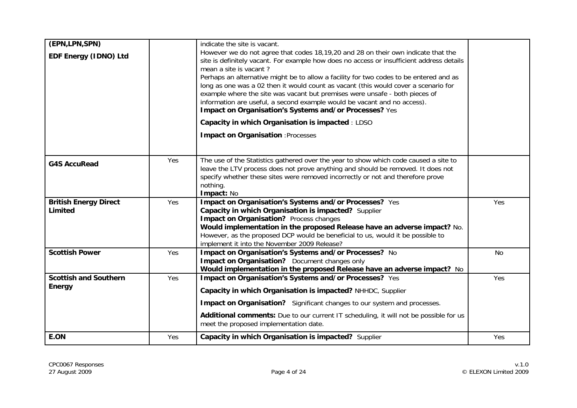| (EPN,LPN,SPN)                           |     | indicate the site is vacant.                                                                                                                                                                                                                                                                                                                                                                                                                                                                                                                                                                                   |           |
|-----------------------------------------|-----|----------------------------------------------------------------------------------------------------------------------------------------------------------------------------------------------------------------------------------------------------------------------------------------------------------------------------------------------------------------------------------------------------------------------------------------------------------------------------------------------------------------------------------------------------------------------------------------------------------------|-----------|
| EDF Energy (IDNO) Ltd                   |     | However we do not agree that codes 18,19,20 and 28 on their own indicate that the<br>site is definitely vacant. For example how does no access or insufficient address details<br>mean a site is vacant?<br>Perhaps an alternative might be to allow a facility for two codes to be entered and as<br>long as one was a 02 then it would count as vacant (this would cover a scenario for<br>example where the site was vacant but premises were unsafe - both pieces of<br>information are useful, a second example would be vacant and no access).<br>Impact on Organisation's Systems and/or Processes? Yes |           |
|                                         |     | Capacity in which Organisation is impacted : LDSO                                                                                                                                                                                                                                                                                                                                                                                                                                                                                                                                                              |           |
|                                         |     | <b>Impact on Organisation : Processes</b>                                                                                                                                                                                                                                                                                                                                                                                                                                                                                                                                                                      |           |
| <b>G4S AccuRead</b>                     | Yes | The use of the Statistics gathered over the year to show which code caused a site to<br>leave the LTV process does not prove anything and should be removed. It does not<br>specify whether these sites were removed incorrectly or not and therefore prove<br>nothing.<br>Impact: No                                                                                                                                                                                                                                                                                                                          |           |
| <b>British Energy Direct</b><br>Limited | Yes | Impact on Organisation's Systems and/or Processes? Yes<br>Capacity in which Organisation is impacted? Supplier<br>Impact on Organisation? Process changes<br>Would implementation in the proposed Release have an adverse impact? No.<br>However, as the proposed DCP would be beneficial to us, would it be possible to<br>implement it into the November 2009 Release?                                                                                                                                                                                                                                       | Yes       |
| <b>Scottish Power</b>                   | Yes | Impact on Organisation's Systems and/or Processes? No<br>Impact on Organisation? Document changes only<br>Would implementation in the proposed Release have an adverse impact? No                                                                                                                                                                                                                                                                                                                                                                                                                              | <b>No</b> |
| <b>Scottish and Southern</b>            | Yes | Impact on Organisation's Systems and/or Processes? Yes                                                                                                                                                                                                                                                                                                                                                                                                                                                                                                                                                         | Yes       |
| Energy                                  |     | Capacity in which Organisation is impacted? NHHDC, Supplier<br>Impact on Organisation? Significant changes to our system and processes.<br>Additional comments: Due to our current IT scheduling, it will not be possible for us<br>meet the proposed implementation date.                                                                                                                                                                                                                                                                                                                                     |           |
| E.ON                                    | Yes | Capacity in which Organisation is impacted? Supplier                                                                                                                                                                                                                                                                                                                                                                                                                                                                                                                                                           | Yes       |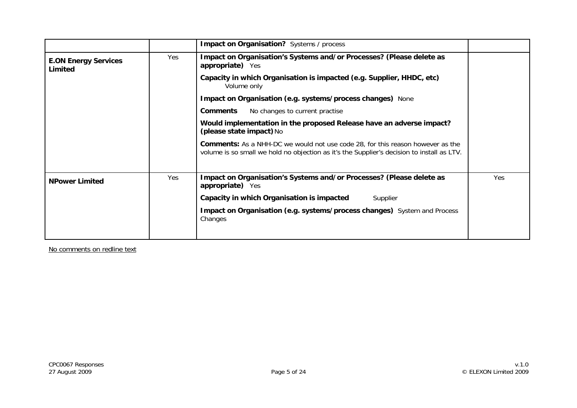|                                        |     | <b>Impact on Organisation?</b> Systems / process                                                                                                                                    |     |
|----------------------------------------|-----|-------------------------------------------------------------------------------------------------------------------------------------------------------------------------------------|-----|
| <b>E.ON Energy Services</b><br>Limited | Yes | Impact on Organisation's Systems and/or Processes? (Please delete as<br>appropriate) Yes                                                                                            |     |
|                                        |     | Capacity in which Organisation is impacted (e.g. Supplier, HHDC, etc)<br>Volume only                                                                                                |     |
|                                        |     | Impact on Organisation (e.g. systems/process changes) None                                                                                                                          |     |
|                                        |     | No changes to current practise<br><b>Comments</b>                                                                                                                                   |     |
|                                        |     | Would implementation in the proposed Release have an adverse impact?<br>(please state impact) No                                                                                    |     |
|                                        |     | <b>Comments:</b> As a NHH-DC we would not use code 28, for this reason however as the<br>volume is so small we hold no objection as it's the Supplier's decision to install as LTV. |     |
| <b>NPower Limited</b>                  | Yes | Impact on Organisation's Systems and/or Processes? (Please delete as<br>appropriate) Yes                                                                                            | Yes |
|                                        |     | Capacity in which Organisation is impacted<br>Supplier                                                                                                                              |     |
|                                        |     | Impact on Organisation (e.g. systems/process changes) System and Process<br>Changes                                                                                                 |     |
|                                        |     |                                                                                                                                                                                     |     |

No comments on redline text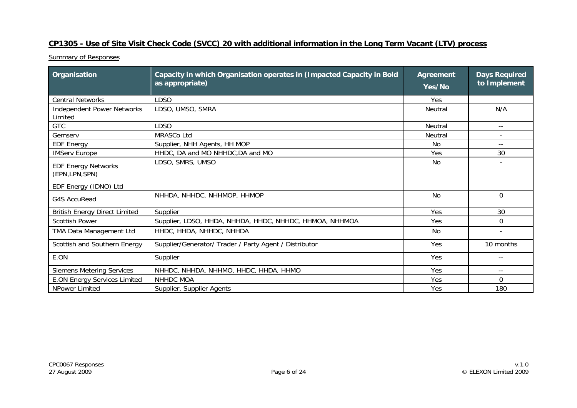## **CP1305 - Use of Site Visit Check Code (SVCC) 20 with additional information in the Long Term Vacant (LTV) process**

| Organisation                                                         | Capacity in which Organisation operates in (Impacted Capacity in Bold<br>as appropriate) | <b>Agreement</b><br>Yes/No | <b>Days Required</b><br>to Implement |
|----------------------------------------------------------------------|------------------------------------------------------------------------------------------|----------------------------|--------------------------------------|
| <b>Central Networks</b>                                              | <b>LDSO</b>                                                                              | Yes                        |                                      |
| <b>Independent Power Networks</b><br>Limited                         | LDSO, UMSO, SMRA                                                                         | <b>Neutral</b>             | N/A                                  |
| <b>GTC</b>                                                           | <b>LDSO</b>                                                                              | <b>Neutral</b>             | $- -$                                |
| Gemserv                                                              | <b>MRASCo Ltd</b>                                                                        | <b>Neutral</b>             |                                      |
| <b>EDF Energy</b>                                                    | Supplier, NHH Agents, HH MOP                                                             | N <sub>0</sub>             | $\qquad \qquad -$                    |
| <b>IMServ Europe</b>                                                 | HHDC, DA and MO NHHDC, DA and MO                                                         | Yes                        | 30                                   |
| <b>EDF Energy Networks</b><br>(EPN,LPN,SPN)<br>EDF Energy (IDNO) Ltd | LDSO, SMRS, UMSO                                                                         | <b>No</b>                  |                                      |
| <b>G4S AccuRead</b>                                                  | NHHDA, NHHDC, NHHMOP, HHMOP                                                              | <b>No</b>                  | $\Omega$                             |
| <b>British Energy Direct Limited</b>                                 | Supplier                                                                                 | Yes                        | 30                                   |
| <b>Scottish Power</b>                                                | Supplier, LDSO, HHDA, NHHDA, HHDC, NHHDC, HHMOA, NHHMOA                                  | Yes                        | $\Omega$                             |
| TMA Data Management Ltd                                              | HHDC, HHDA, NHHDC, NHHDA                                                                 | No                         |                                      |
| Scottish and Southern Energy                                         | Supplier/Generator/ Trader / Party Agent / Distributor                                   | Yes                        | 10 months                            |
| E.ON                                                                 | Supplier                                                                                 | Yes                        | $- -$                                |
| <b>Siemens Metering Services</b>                                     | NHHDC, NHHDA, NHHMO, HHDC, HHDA, HHMO                                                    | Yes                        |                                      |
| <b>E.ON Energy Services Limited</b>                                  | NHHDC MOA                                                                                | Yes                        | $\Omega$                             |
| NPower Limited                                                       | Supplier, Supplier Agents                                                                | Yes                        | 180                                  |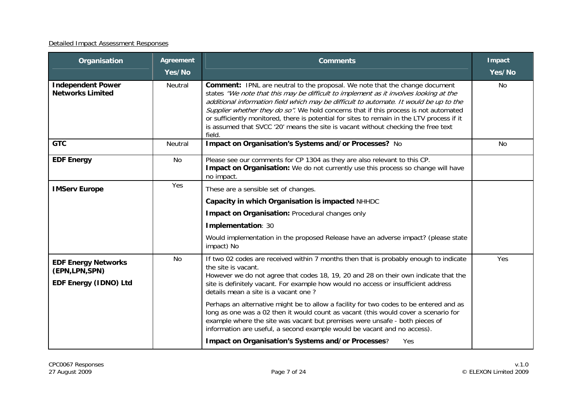| Organisation                                                         | <b>Agreement</b><br>Yes/No | <b>Comments</b>                                                                                                                                                                                                                                                                                                                                                                                                                                                                                                                                            | Impact<br>Yes/No |
|----------------------------------------------------------------------|----------------------------|------------------------------------------------------------------------------------------------------------------------------------------------------------------------------------------------------------------------------------------------------------------------------------------------------------------------------------------------------------------------------------------------------------------------------------------------------------------------------------------------------------------------------------------------------------|------------------|
| <b>Independent Power</b><br><b>Networks Limited</b>                  | Neutral                    | <b>Comment:</b> IPNL are neutral to the proposal. We note that the change document<br>states "We note that this may be difficult to implement as it involves looking at the<br>additional information field which may be difficult to automate. It would be up to the<br>Supplier whether they do so". We hold concerns that if this process is not automated<br>or sufficiently monitored, there is potential for sites to remain in the LTV process if it<br>is assumed that SVCC '20' means the site is vacant without checking the free text<br>field. | No               |
| <b>GTC</b>                                                           | Neutral                    | Impact on Organisation's Systems and/or Processes? No                                                                                                                                                                                                                                                                                                                                                                                                                                                                                                      | No               |
| <b>EDF Energy</b>                                                    | <b>No</b>                  | Please see our comments for CP 1304 as they are also relevant to this CP.<br>Impact on Organisation: We do not currently use this process so change will have<br>no impact.                                                                                                                                                                                                                                                                                                                                                                                |                  |
| <b>IMServ Europe</b>                                                 | Yes                        | These are a sensible set of changes.<br>Capacity in which Organisation is impacted NHHDC<br>Impact on Organisation: Procedural changes only                                                                                                                                                                                                                                                                                                                                                                                                                |                  |
|                                                                      |                            | Implementation: 30<br>Would implementation in the proposed Release have an adverse impact? (please state<br>impact) No                                                                                                                                                                                                                                                                                                                                                                                                                                     |                  |
| <b>EDF Energy Networks</b><br>(EPN,LPN,SPN)<br>EDF Energy (IDNO) Ltd | <b>No</b>                  | If two 02 codes are received within 7 months then that is probably enough to indicate<br>the site is vacant.<br>However we do not agree that codes 18, 19, 20 and 28 on their own indicate that the<br>site is definitely vacant. For example how would no access or insufficient address<br>details mean a site is a vacant one?                                                                                                                                                                                                                          | Yes              |
|                                                                      |                            | Perhaps an alternative might be to allow a facility for two codes to be entered and as<br>long as one was a 02 then it would count as vacant (this would cover a scenario for<br>example where the site was vacant but premises were unsafe - both pieces of<br>information are useful, a second example would be vacant and no access).<br><b>Impact on Organisation's Systems and/or Processes?</b><br>Yes                                                                                                                                               |                  |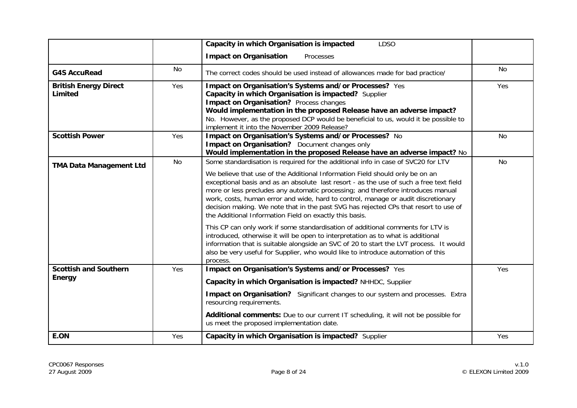|                                               |     | Capacity in which Organisation is impacted<br><b>LDSO</b>                                                                                                                                                                                                                                                                                                                                                                                                                                                                                                                                                                                                                                                                                                                                                                                                                                                                                                 |           |
|-----------------------------------------------|-----|-----------------------------------------------------------------------------------------------------------------------------------------------------------------------------------------------------------------------------------------------------------------------------------------------------------------------------------------------------------------------------------------------------------------------------------------------------------------------------------------------------------------------------------------------------------------------------------------------------------------------------------------------------------------------------------------------------------------------------------------------------------------------------------------------------------------------------------------------------------------------------------------------------------------------------------------------------------|-----------|
|                                               |     | <b>Impact on Organisation</b><br>Processes                                                                                                                                                                                                                                                                                                                                                                                                                                                                                                                                                                                                                                                                                                                                                                                                                                                                                                                |           |
| <b>G4S AccuRead</b>                           | No  | The correct codes should be used instead of allowances made for bad practice/                                                                                                                                                                                                                                                                                                                                                                                                                                                                                                                                                                                                                                                                                                                                                                                                                                                                             | No        |
| <b>British Energy Direct</b><br>Limited       | Yes | Impact on Organisation's Systems and/or Processes? Yes<br>Capacity in which Organisation is impacted? Supplier<br>Impact on Organisation? Process changes<br>Would implementation in the proposed Release have an adverse impact?<br>No. However, as the proposed DCP would be beneficial to us, would it be possible to<br>implement it into the November 2009 Release?                                                                                                                                                                                                                                                                                                                                                                                                                                                                                                                                                                                  | Yes       |
| <b>Scottish Power</b>                         | Yes | Impact on Organisation's Systems and/or Processes? No<br>Impact on Organisation? Document changes only<br>Would implementation in the proposed Release have an adverse impact? No                                                                                                                                                                                                                                                                                                                                                                                                                                                                                                                                                                                                                                                                                                                                                                         | <b>No</b> |
| <b>TMA Data Management Ltd</b>                | No  | Some standardisation is required for the additional info in case of SVC20 for LTV<br>We believe that use of the Additional Information Field should only be on an<br>exceptional basis and as an absolute last resort - as the use of such a free text field<br>more or less precludes any automatic processing; and therefore introduces manual<br>work, costs, human error and wide, hard to control, manage or audit discretionary<br>decision making. We note that in the past SVG has rejected CPs that resort to use of<br>the Additional Information Field on exactly this basis.<br>This CP can only work if some standardisation of additional comments for LTV is<br>introduced, otherwise it will be open to interpretation as to what is additional<br>information that is suitable alongside an SVC of 20 to start the LVT process. It would<br>also be very useful for Supplier, who would like to introduce automation of this<br>process. | <b>No</b> |
| <b>Scottish and Southern</b><br><b>Energy</b> | Yes | Impact on Organisation's Systems and/or Processes? Yes<br>Capacity in which Organisation is impacted? NHHDC, Supplier<br>Impact on Organisation? Significant changes to our system and processes. Extra<br>resourcing requirements.<br>Additional comments: Due to our current IT scheduling, it will not be possible for<br>us meet the proposed implementation date.                                                                                                                                                                                                                                                                                                                                                                                                                                                                                                                                                                                    | Yes       |
| E.ON                                          | Yes | Capacity in which Organisation is impacted? Supplier                                                                                                                                                                                                                                                                                                                                                                                                                                                                                                                                                                                                                                                                                                                                                                                                                                                                                                      | Yes       |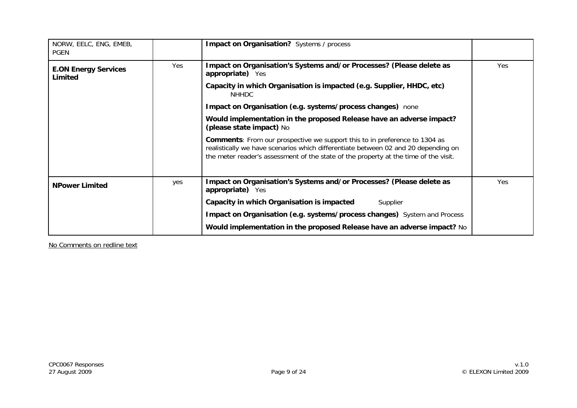| NORW, EELC, ENG, EMEB,<br><b>PGEN</b>  |     | Impact on Organisation? Systems / process                                                                                                                                                                                                                       |     |
|----------------------------------------|-----|-----------------------------------------------------------------------------------------------------------------------------------------------------------------------------------------------------------------------------------------------------------------|-----|
| <b>E.ON Energy Services</b><br>Limited | Yes | Impact on Organisation's Systems and/or Processes? (Please delete as<br>appropriate) Yes                                                                                                                                                                        | Yes |
|                                        |     | Capacity in which Organisation is impacted (e.g. Supplier, HHDC, etc)<br>NHHDC                                                                                                                                                                                  |     |
|                                        |     | Impact on Organisation (e.g. systems/process changes) none                                                                                                                                                                                                      |     |
|                                        |     | Would implementation in the proposed Release have an adverse impact?<br>(please state impact) No                                                                                                                                                                |     |
|                                        |     | <b>Comments:</b> From our prospective we support this to in preference to 1304 as<br>realistically we have scenarios which differentiate between 02 and 20 depending on<br>the meter reader's assessment of the state of the property at the time of the visit. |     |
| <b>NPower Limited</b>                  | yes | Impact on Organisation's Systems and/or Processes? (Please delete as<br>appropriate) Yes                                                                                                                                                                        | Yes |
|                                        |     | Capacity in which Organisation is impacted<br>Supplier                                                                                                                                                                                                          |     |
|                                        |     | Impact on Organisation (e.g. systems/process changes) System and Process                                                                                                                                                                                        |     |
|                                        |     | Would implementation in the proposed Release have an adverse impact? No                                                                                                                                                                                         |     |

No Comments on redline text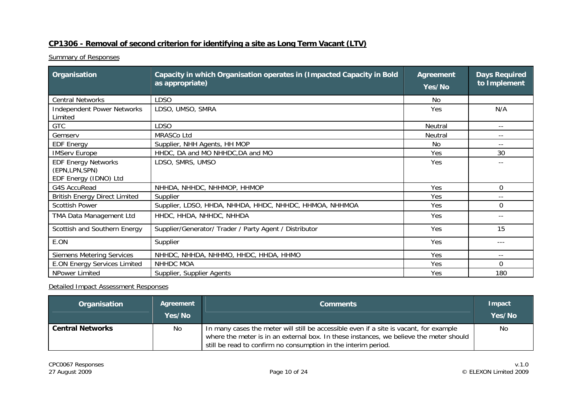## **CP1306 - Removal of second criterion for identifying a site as Long Term Vacant (LTV)**

**Summary of Responses** 

| Organisation                                                           | Capacity in which Organisation operates in (Impacted Capacity in Bold<br>as appropriate) | <b>Agreement</b><br>Yes/No | <b>Days Required</b><br>to Implement |
|------------------------------------------------------------------------|------------------------------------------------------------------------------------------|----------------------------|--------------------------------------|
| <b>Central Networks</b>                                                | <b>LDSO</b>                                                                              | No                         |                                      |
| <b>Independent Power Networks</b><br>Limited                           | LDSO, UMSO, SMRA                                                                         | Yes                        | N/A                                  |
| <b>GTC</b>                                                             | <b>LDSO</b>                                                                              | Neutral                    | $ -$                                 |
| Gemserv                                                                | <b>MRASCo Ltd</b>                                                                        | <b>Neutral</b>             | $- -$                                |
| <b>EDF Energy</b>                                                      | Supplier, NHH Agents, HH MOP                                                             | No                         | $- -$                                |
| <b>IMServ Europe</b>                                                   | HHDC, DA and MO NHHDC, DA and MO                                                         | Yes                        | 30                                   |
| <b>EDF Energy Networks</b><br>(EPN, LPN, SPN)<br>EDF Energy (IDNO) Ltd | LDSO, SMRS, UMSO                                                                         | Yes                        |                                      |
| G4S AccuRead                                                           | NHHDA, NHHDC, NHHMOP, HHMOP                                                              | Yes                        | $\Omega$                             |
| <b>British Energy Direct Limited</b>                                   | Supplier                                                                                 | Yes                        | $- -$                                |
| <b>Scottish Power</b>                                                  | Supplier, LDSO, HHDA, NHHDA, HHDC, NHHDC, HHMOA, NHHMOA                                  | Yes                        | $\Omega$                             |
| TMA Data Management Ltd                                                | HHDC, HHDA, NHHDC, NHHDA                                                                 | Yes                        | $ -$                                 |
| Scottish and Southern Energy                                           | Supplier/Generator/ Trader / Party Agent / Distributor                                   | Yes                        | 15                                   |
| E.ON                                                                   | Supplier                                                                                 | Yes                        | $---$                                |
| <b>Siemens Metering Services</b>                                       | NHHDC, NHHDA, NHHMO, HHDC, HHDA, HHMO                                                    | Yes                        |                                      |
| <b>E.ON Energy Services Limited</b>                                    | NHHDC MOA                                                                                | Yes                        | $\Omega$                             |
| NPower Limited                                                         | Supplier, Supplier Agents                                                                | Yes                        | 180                                  |

| Organisation            | Agreement<br>Yes/No | <b>Comments</b>                                                                                                                                                                                                                                    | Impact<br>Yes/No |
|-------------------------|---------------------|----------------------------------------------------------------------------------------------------------------------------------------------------------------------------------------------------------------------------------------------------|------------------|
| <b>Central Networks</b> | No                  | In many cases the meter will still be accessible even if a site is vacant, for example<br>where the meter is in an external box. In these instances, we believe the meter should<br>still be read to confirm no consumption in the interim period. | No               |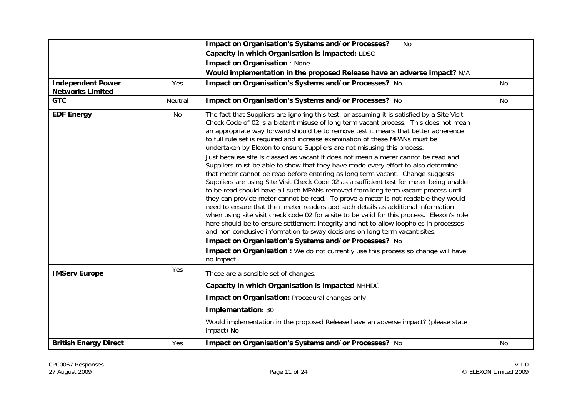| <b>Independent Power</b><br><b>Networks Limited</b> | Yes     | Impact on Organisation's Systems and/or Processes?<br>No<br>Capacity in which Organisation is impacted: LDSO<br><b>Impact on Organisation: None</b><br>Would implementation in the proposed Release have an adverse impact? N/A<br>Impact on Organisation's Systems and/or Processes? No                                                                                                                                                                                                                                                                                                                                                                                                                                                                                                                                                                                                                                                                                                                                                                                                                                                                                                                                                                                                                                                                                                                                                                                                         | No |
|-----------------------------------------------------|---------|--------------------------------------------------------------------------------------------------------------------------------------------------------------------------------------------------------------------------------------------------------------------------------------------------------------------------------------------------------------------------------------------------------------------------------------------------------------------------------------------------------------------------------------------------------------------------------------------------------------------------------------------------------------------------------------------------------------------------------------------------------------------------------------------------------------------------------------------------------------------------------------------------------------------------------------------------------------------------------------------------------------------------------------------------------------------------------------------------------------------------------------------------------------------------------------------------------------------------------------------------------------------------------------------------------------------------------------------------------------------------------------------------------------------------------------------------------------------------------------------------|----|
| <b>GTC</b>                                          | Neutral | Impact on Organisation's Systems and/or Processes? No                                                                                                                                                                                                                                                                                                                                                                                                                                                                                                                                                                                                                                                                                                                                                                                                                                                                                                                                                                                                                                                                                                                                                                                                                                                                                                                                                                                                                                            | No |
| <b>EDF Energy</b>                                   | No      | The fact that Suppliers are ignoring this test, or assuming it is satisfied by a Site Visit<br>Check Code of 02 is a blatant misuse of long term vacant process. This does not mean<br>an appropriate way forward should be to remove test it means that better adherence<br>to full rule set is required and increase examination of these MPANs must be<br>undertaken by Elexon to ensure Suppliers are not misusing this process.<br>Just because site is classed as vacant it does not mean a meter cannot be read and<br>Suppliers must be able to show that they have made every effort to also determine<br>that meter cannot be read before entering as long term vacant. Change suggests<br>Suppliers are using Site Visit Check Code 02 as a sufficient test for meter being unable<br>to be read should have all such MPANs removed from long term vacant process until<br>they can provide meter cannot be read. To prove a meter is not readable they would<br>need to ensure that their meter readers add such details as additional information<br>when using site visit check code 02 for a site to be valid for this process. Elexon's role<br>here should be to ensure settlement integrity and not to allow loopholes in processes<br>and non conclusive information to sway decisions on long term vacant sites.<br>Impact on Organisation's Systems and/or Processes? No<br>Impact on Organisation : We do not currently use this process so change will have<br>no impact. |    |
| <b>IMServ Europe</b>                                | Yes     | These are a sensible set of changes.<br>Capacity in which Organisation is impacted NHHDC                                                                                                                                                                                                                                                                                                                                                                                                                                                                                                                                                                                                                                                                                                                                                                                                                                                                                                                                                                                                                                                                                                                                                                                                                                                                                                                                                                                                         |    |
|                                                     |         | Impact on Organisation: Procedural changes only                                                                                                                                                                                                                                                                                                                                                                                                                                                                                                                                                                                                                                                                                                                                                                                                                                                                                                                                                                                                                                                                                                                                                                                                                                                                                                                                                                                                                                                  |    |
|                                                     |         | Implementation: 30                                                                                                                                                                                                                                                                                                                                                                                                                                                                                                                                                                                                                                                                                                                                                                                                                                                                                                                                                                                                                                                                                                                                                                                                                                                                                                                                                                                                                                                                               |    |
|                                                     |         | Would implementation in the proposed Release have an adverse impact? (please state<br>impact) No                                                                                                                                                                                                                                                                                                                                                                                                                                                                                                                                                                                                                                                                                                                                                                                                                                                                                                                                                                                                                                                                                                                                                                                                                                                                                                                                                                                                 |    |
| <b>British Energy Direct</b>                        | Yes     | Impact on Organisation's Systems and/or Processes? No                                                                                                                                                                                                                                                                                                                                                                                                                                                                                                                                                                                                                                                                                                                                                                                                                                                                                                                                                                                                                                                                                                                                                                                                                                                                                                                                                                                                                                            | No |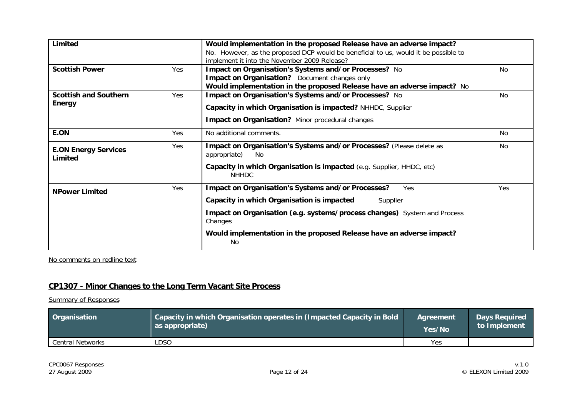| Limited                                |     | Would implementation in the proposed Release have an adverse impact?<br>No. However, as the proposed DCP would be beneficial to us, would it be possible to<br>implement it into the November 2009 Release? |                |
|----------------------------------------|-----|-------------------------------------------------------------------------------------------------------------------------------------------------------------------------------------------------------------|----------------|
| <b>Scottish Power</b>                  | Yes | Impact on Organisation's Systems and/or Processes? No<br>Impact on Organisation? Document changes only<br>Would implementation in the proposed Release have an adverse impact? No                           | No.            |
| <b>Scottish and Southern</b><br>Energy | Yes | Impact on Organisation's Systems and/or Processes? No<br>Capacity in which Organisation is impacted? NHHDC, Supplier<br>Impact on Organisation? Minor procedural changes                                    | N <sub>0</sub> |
| E.ON                                   | Yes | No additional comments.                                                                                                                                                                                     | No             |
| <b>E.ON Energy Services</b><br>Limited | Yes | Impact on Organisation's Systems and/or Processes? (Please delete as<br>appropriate)<br>No.<br>Capacity in which Organisation is impacted (e.g. Supplier, HHDC, etc)                                        |                |
|                                        |     | <b>NHHDC</b>                                                                                                                                                                                                |                |
| <b>NPower Limited</b>                  | Yes | <b>Impact on Organisation's Systems and/or Processes?</b><br>Yes<br>Capacity in which Organisation is impacted<br>Supplier                                                                                  | Yes            |
|                                        |     | Impact on Organisation (e.g. systems/process changes) System and Process<br>Changes                                                                                                                         |                |
|                                        |     | Would implementation in the proposed Release have an adverse impact?<br>No                                                                                                                                  |                |

No comments on redline text

# **CP1307 - Minor Changes to the Long Term Vacant Site Process**

| Organisation            | Capacity in which Organisation operates in (Impacted Capacity in Bold | Agreement | <b>Days Required</b> |
|-------------------------|-----------------------------------------------------------------------|-----------|----------------------|
|                         | as appropriate)                                                       | Yes/No    | to Implement         |
| <b>Central Networks</b> | LDSO                                                                  | Yes       |                      |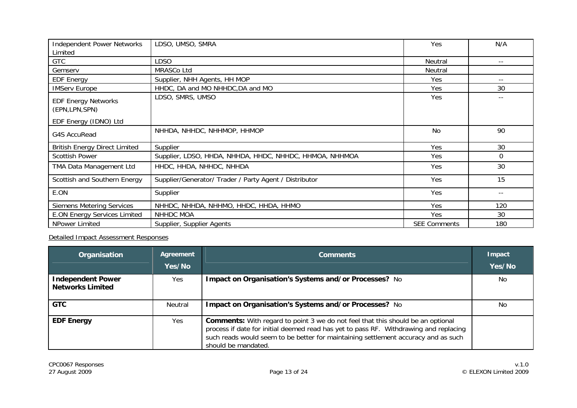| <b>Independent Power Networks</b><br>Limited  | LDSO, UMSO, SMRA                                        | Yes                 | N/A   |
|-----------------------------------------------|---------------------------------------------------------|---------------------|-------|
| <b>GTC</b>                                    | <b>LDSO</b>                                             | Neutral             | $- -$ |
| Gemserv                                       | MRASCo Ltd                                              | Neutral             |       |
| <b>EDF Energy</b>                             | Supplier, NHH Agents, HH MOP                            | Yes                 | $- -$ |
| <b>IMServ Europe</b>                          | HHDC, DA and MO NHHDC, DA and MO                        | Yes                 | 30    |
| <b>EDF Energy Networks</b><br>(EPN, LPN, SPN) | LDSO, SMRS, UMSO                                        | Yes                 | --    |
| EDF Energy (IDNO) Ltd                         |                                                         |                     |       |
| G4S AccuRead                                  | NHHDA, NHHDC, NHHMOP, HHMOP                             | No                  | 90    |
| <b>British Energy Direct Limited</b>          | <b>Supplier</b>                                         | Yes                 | 30    |
| <b>Scottish Power</b>                         | Supplier, LDSO, HHDA, NHHDA, HHDC, NHHDC, HHMOA, NHHMOA | Yes                 | 0     |
| TMA Data Management Ltd                       | HHDC, HHDA, NHHDC, NHHDA                                | Yes                 | 30    |
| Scottish and Southern Energy                  | Supplier/Generator/ Trader / Party Agent / Distributor  | Yes                 | 15    |
| E.ON                                          | Supplier                                                | Yes                 | $- -$ |
| <b>Siemens Metering Services</b>              | NHHDC, NHHDA, NHHMO, HHDC, HHDA, HHMO                   | Yes                 | 120   |
| <b>E.ON Energy Services Limited</b>           | <b>NHHDC MOA</b>                                        | Yes                 | 30    |
| NPower Limited                                | Supplier, Supplier Agents                               | <b>SEE Comments</b> | 180   |

| Organisation                                        | Agreement<br>Yes/No | <b>Comments</b>                                                                                                                                                                                                                                                                              | Impact<br>Yes/No |
|-----------------------------------------------------|---------------------|----------------------------------------------------------------------------------------------------------------------------------------------------------------------------------------------------------------------------------------------------------------------------------------------|------------------|
| <b>Independent Power</b><br><b>Networks Limited</b> | Yes                 | Impact on Organisation's Systems and/or Processes? No                                                                                                                                                                                                                                        | No               |
| <b>GTC</b>                                          | Neutral             | Impact on Organisation's Systems and/or Processes? No                                                                                                                                                                                                                                        | No               |
| <b>EDF Energy</b>                                   | Yes.                | <b>Comments:</b> With regard to point 3 we do not feel that this should be an optional<br>process if date for initial deemed read has yet to pass RF. Withdrawing and replacing<br>such reads would seem to be better for maintaining settlement accuracy and as such<br>should be mandated. |                  |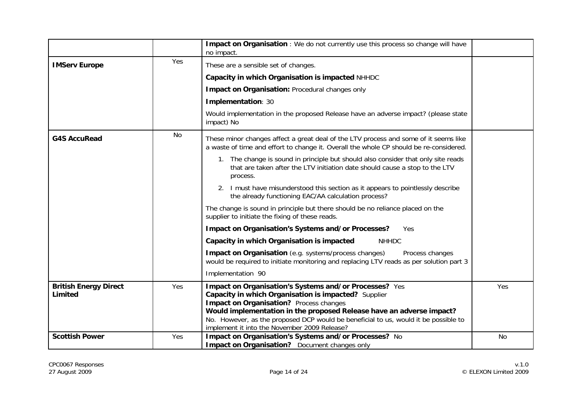|                                         |     | Impact on Organisation : We do not currently use this process so change will have<br>no impact.                                                                                                                                                                                                                                                                          |           |
|-----------------------------------------|-----|--------------------------------------------------------------------------------------------------------------------------------------------------------------------------------------------------------------------------------------------------------------------------------------------------------------------------------------------------------------------------|-----------|
| <b>IMServ Europe</b>                    | Yes | These are a sensible set of changes.                                                                                                                                                                                                                                                                                                                                     |           |
|                                         |     | Capacity in which Organisation is impacted NHHDC                                                                                                                                                                                                                                                                                                                         |           |
|                                         |     | Impact on Organisation: Procedural changes only                                                                                                                                                                                                                                                                                                                          |           |
|                                         |     | Implementation: 30                                                                                                                                                                                                                                                                                                                                                       |           |
|                                         |     | Would implementation in the proposed Release have an adverse impact? (please state<br>impact) No                                                                                                                                                                                                                                                                         |           |
| <b>G4S AccuRead</b>                     | No  | These minor changes affect a great deal of the LTV process and some of it seems like<br>a waste of time and effort to change it. Overall the whole CP should be re-considered.                                                                                                                                                                                           |           |
|                                         |     | 1. The change is sound in principle but should also consider that only site reads<br>that are taken after the LTV initiation date should cause a stop to the LTV<br>process.                                                                                                                                                                                             |           |
|                                         |     | 2. I must have misunderstood this section as it appears to pointlessly describe<br>the already functioning EAC/AA calculation process?                                                                                                                                                                                                                                   |           |
|                                         |     | The change is sound in principle but there should be no reliance placed on the<br>supplier to initiate the fixing of these reads.                                                                                                                                                                                                                                        |           |
|                                         |     | Impact on Organisation's Systems and/or Processes?<br>Yes                                                                                                                                                                                                                                                                                                                |           |
|                                         |     | Capacity in which Organisation is impacted<br><b>NHHDC</b>                                                                                                                                                                                                                                                                                                               |           |
|                                         |     | Impact on Organisation (e.g. systems/process changes)<br>Process changes<br>would be required to initiate monitoring and replacing LTV reads as per solution part 3                                                                                                                                                                                                      |           |
|                                         |     | Implementation 90                                                                                                                                                                                                                                                                                                                                                        |           |
| <b>British Energy Direct</b><br>Limited | Yes | Impact on Organisation's Systems and/or Processes? Yes<br>Capacity in which Organisation is impacted? Supplier<br>Impact on Organisation? Process changes<br>Would implementation in the proposed Release have an adverse impact?<br>No. However, as the proposed DCP would be beneficial to us, would it be possible to<br>implement it into the November 2009 Release? | Yes       |
| <b>Scottish Power</b>                   | Yes | Impact on Organisation's Systems and/or Processes? No<br><b>Impact on Organisation?</b> Document changes only                                                                                                                                                                                                                                                            | <b>No</b> |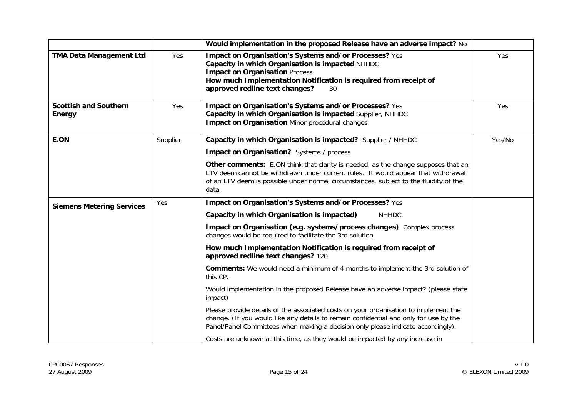|                                               |          | Would implementation in the proposed Release have an adverse impact? No                                                                                                                                                                                                  |        |
|-----------------------------------------------|----------|--------------------------------------------------------------------------------------------------------------------------------------------------------------------------------------------------------------------------------------------------------------------------|--------|
| <b>TMA Data Management Ltd</b>                | Yes      | Impact on Organisation's Systems and/or Processes? Yes<br>Capacity in which Organisation is impacted NHHDC<br><b>Impact on Organisation Process</b><br>How much Implementation Notification is required from receipt of<br>approved redline text changes?<br>30          | Yes    |
| <b>Scottish and Southern</b><br><b>Energy</b> | Yes      | Impact on Organisation's Systems and/or Processes? Yes<br>Capacity in which Organisation is impacted Supplier, NHHDC<br><b>Impact on Organisation Minor procedural changes</b>                                                                                           | Yes    |
| E.ON                                          | Supplier | Capacity in which Organisation is impacted? Supplier / NHHDC                                                                                                                                                                                                             | Yes/No |
|                                               |          | Impact on Organisation? Systems / process                                                                                                                                                                                                                                |        |
|                                               |          | Other comments: E.ON think that clarity is needed, as the change supposes that an<br>LTV deem cannot be withdrawn under current rules. It would appear that withdrawal<br>of an LTV deem is possible under normal circumstances, subject to the fluidity of the<br>data. |        |
| <b>Siemens Metering Services</b>              | Yes      | Impact on Organisation's Systems and/or Processes? Yes                                                                                                                                                                                                                   |        |
|                                               |          | Capacity in which Organisation is impacted)<br><b>NHHDC</b>                                                                                                                                                                                                              |        |
|                                               |          | Impact on Organisation (e.g. systems/process changes) Complex process<br>changes would be required to facilitate the 3rd solution.                                                                                                                                       |        |
|                                               |          | How much Implementation Notification is required from receipt of<br>approved redline text changes? 120                                                                                                                                                                   |        |
|                                               |          | <b>Comments:</b> We would need a minimum of 4 months to implement the 3rd solution of<br>this CP.                                                                                                                                                                        |        |
|                                               |          | Would implementation in the proposed Release have an adverse impact? (please state<br>impact)                                                                                                                                                                            |        |
|                                               |          | Please provide details of the associated costs on your organisation to implement the<br>change. (If you would like any details to remain confidential and only for use by the<br>Panel/Panel Committees when making a decision only please indicate accordingly).        |        |
|                                               |          | Costs are unknown at this time, as they would be impacted by any increase in                                                                                                                                                                                             |        |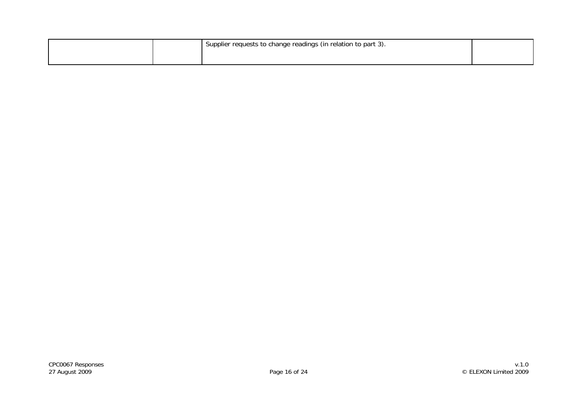|  | I Supplier requests to change readings (in relation to part 3). |  |
|--|-----------------------------------------------------------------|--|
|  |                                                                 |  |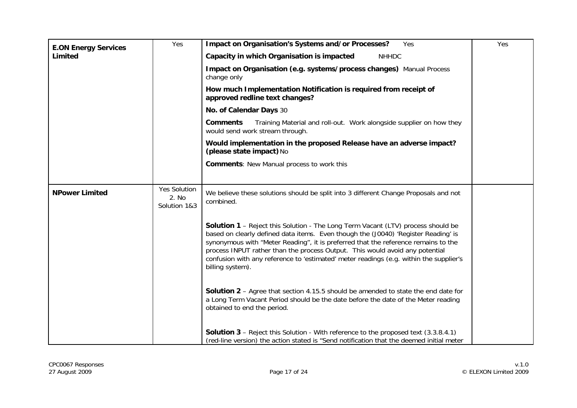| <b>E.ON Energy Services</b> | Yes                                          | Impact on Organisation's Systems and/or Processes?<br>Yes                                                                                                                                                                                                                                                                                                                                                                                                         | Yes |
|-----------------------------|----------------------------------------------|-------------------------------------------------------------------------------------------------------------------------------------------------------------------------------------------------------------------------------------------------------------------------------------------------------------------------------------------------------------------------------------------------------------------------------------------------------------------|-----|
| Limited                     |                                              | Capacity in which Organisation is impacted<br><b>NHHDC</b>                                                                                                                                                                                                                                                                                                                                                                                                        |     |
|                             |                                              | Impact on Organisation (e.g. systems/process changes) Manual Process<br>change only                                                                                                                                                                                                                                                                                                                                                                               |     |
|                             |                                              | How much Implementation Notification is required from receipt of<br>approved redline text changes?                                                                                                                                                                                                                                                                                                                                                                |     |
|                             |                                              | No. of Calendar Days 30                                                                                                                                                                                                                                                                                                                                                                                                                                           |     |
|                             |                                              | Training Material and roll-out. Work alongside supplier on how they<br><b>Comments</b><br>would send work stream through.                                                                                                                                                                                                                                                                                                                                         |     |
|                             |                                              | Would implementation in the proposed Release have an adverse impact?<br>(please state impact) No                                                                                                                                                                                                                                                                                                                                                                  |     |
|                             |                                              | <b>Comments: New Manual process to work this</b>                                                                                                                                                                                                                                                                                                                                                                                                                  |     |
|                             |                                              |                                                                                                                                                                                                                                                                                                                                                                                                                                                                   |     |
| <b>NPower Limited</b>       | <b>Yes Solution</b><br>2. No<br>Solution 1&3 | We believe these solutions should be split into 3 different Change Proposals and not<br>combined.                                                                                                                                                                                                                                                                                                                                                                 |     |
|                             |                                              | <b>Solution 1</b> - Reject this Solution - The Long Term Vacant (LTV) process should be<br>based on clearly defined data items. Even though the (J0040) 'Register Reading' is<br>synonymous with "Meter Reading", it is preferred that the reference remains to the<br>process INPUT rather than the process Output. This would avoid any potential<br>confusion with any reference to 'estimated' meter readings (e.g. within the supplier's<br>billing system). |     |
|                             |                                              | <b>Solution 2</b> – Agree that section 4.15.5 should be amended to state the end date for<br>a Long Term Vacant Period should be the date before the date of the Meter reading<br>obtained to end the period.                                                                                                                                                                                                                                                     |     |
|                             |                                              | <b>Solution 3</b> – Reject this Solution - With reference to the proposed text (3.3.8.4.1)<br>(red-line version) the action stated is "Send notification that the deemed initial meter                                                                                                                                                                                                                                                                            |     |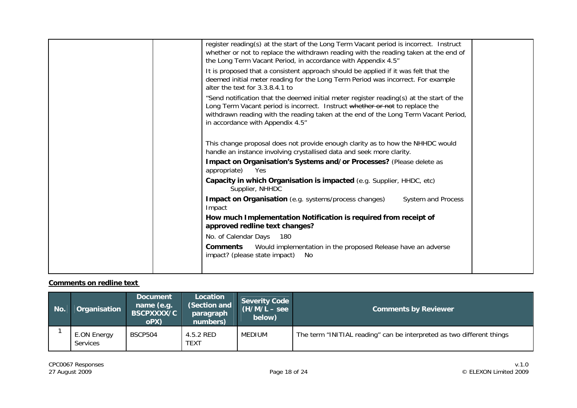| register reading(s) at the start of the Long Term Vacant period is incorrect. Instruct<br>whether or not to replace the withdrawn reading with the reading taken at the end of<br>the Long Term Vacant Period, in accordance with Appendix 4.5"<br>It is proposed that a consistent approach should be applied if it was felt that the<br>deemed initial meter reading for the Long Term Period was incorrect. For example<br>alter the text for 3.3.8.4.1 to<br>"Send notification that the deemed initial meter register reading(s) at the start of the<br>Long Term Vacant period is incorrect. Instruct whether or not to replace the<br>withdrawn reading with the reading taken at the end of the Long Term Vacant Period,<br>in accordance with Appendix 4.5"<br>This change proposal does not provide enough clarity as to how the NHHDC would<br>handle an instance involving crystallised data and seek more clarity. |  |
|---------------------------------------------------------------------------------------------------------------------------------------------------------------------------------------------------------------------------------------------------------------------------------------------------------------------------------------------------------------------------------------------------------------------------------------------------------------------------------------------------------------------------------------------------------------------------------------------------------------------------------------------------------------------------------------------------------------------------------------------------------------------------------------------------------------------------------------------------------------------------------------------------------------------------------|--|
| Impact on Organisation's Systems and/or Processes? (Please delete as<br>appropriate)<br>Yes                                                                                                                                                                                                                                                                                                                                                                                                                                                                                                                                                                                                                                                                                                                                                                                                                                     |  |
| Capacity in which Organisation is impacted (e.g. Supplier, HHDC, etc)<br>Supplier, NHHDC                                                                                                                                                                                                                                                                                                                                                                                                                                                                                                                                                                                                                                                                                                                                                                                                                                        |  |
| Impact on Organisation (e.g. systems/process changes)<br>System and Process<br>Impact                                                                                                                                                                                                                                                                                                                                                                                                                                                                                                                                                                                                                                                                                                                                                                                                                                           |  |
| How much Implementation Notification is required from receipt of<br>approved redline text changes?                                                                                                                                                                                                                                                                                                                                                                                                                                                                                                                                                                                                                                                                                                                                                                                                                              |  |
| No. of Calendar Days<br>180                                                                                                                                                                                                                                                                                                                                                                                                                                                                                                                                                                                                                                                                                                                                                                                                                                                                                                     |  |
| Would implementation in the proposed Release have an adverse<br>Comments<br>impact? (please state impact)<br>No                                                                                                                                                                                                                                                                                                                                                                                                                                                                                                                                                                                                                                                                                                                                                                                                                 |  |
|                                                                                                                                                                                                                                                                                                                                                                                                                                                                                                                                                                                                                                                                                                                                                                                                                                                                                                                                 |  |

#### **Comments on redline text**

| No. | Organisation                   | <b>Document</b><br>name (e.g.<br>BSCPXXXX/C<br>oPX) | Location<br>(Section and<br>paragraph<br>numbers) | <b>Severity Code</b><br>$(H/M/L - see$<br>below) | <b>Comments by Reviewer</b>                                           |
|-----|--------------------------------|-----------------------------------------------------|---------------------------------------------------|--------------------------------------------------|-----------------------------------------------------------------------|
|     | E.ON Energy<br><b>Services</b> | BSCP504                                             | 4.5.2 RED<br><b>TEXT</b>                          | MEDIUM                                           | The term "INITIAL reading" can be interpreted as two different things |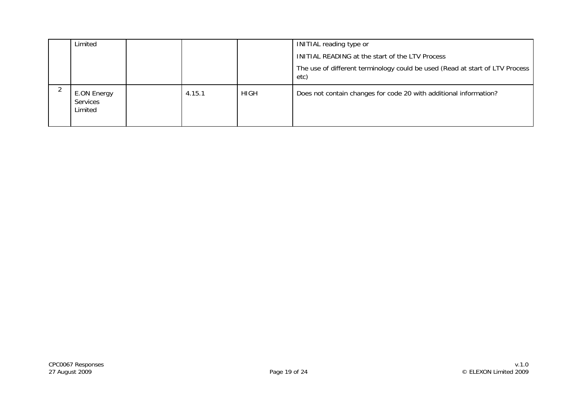| Limited                                   |        |             | <b>INITIAL reading type or</b>                                                       |
|-------------------------------------------|--------|-------------|--------------------------------------------------------------------------------------|
|                                           |        |             | INITIAL READING at the start of the LTV Process                                      |
|                                           |        |             | The use of different terminology could be used (Read at start of LTV Process<br>etc) |
| E.ON Energy<br><b>Services</b><br>Limited | 4.15.1 | <b>HIGH</b> | Does not contain changes for code 20 with additional information?                    |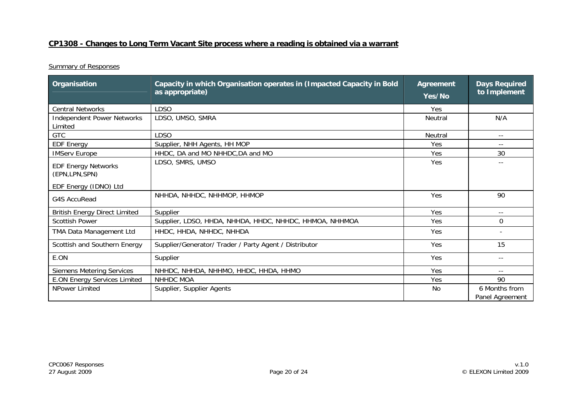## **CP1308 - Changes to Long Term Vacant Site process where a reading is obtained via a warrant**

| Organisation                                  | Capacity in which Organisation operates in (Impacted Capacity in Bold<br>as appropriate) | <b>Agreement</b><br>Yes/No | <b>Days Required</b><br>to Implement |
|-----------------------------------------------|------------------------------------------------------------------------------------------|----------------------------|--------------------------------------|
| <b>Central Networks</b>                       | <b>LDSO</b>                                                                              | Yes                        |                                      |
| <b>Independent Power Networks</b><br>Limited  | LDSO, UMSO, SMRA                                                                         | Neutral                    | N/A                                  |
| <b>GTC</b>                                    | <b>LDSO</b>                                                                              | Neutral                    | $\overline{\phantom{a}}$ .           |
| <b>EDF Energy</b>                             | Supplier, NHH Agents, HH MOP                                                             | Yes                        |                                      |
| <b>IMServ Europe</b>                          | HHDC, DA and MO NHHDC, DA and MO                                                         | Yes                        | 30                                   |
| <b>EDF Energy Networks</b><br>(EPN, LPN, SPN) | LDSO, SMRS, UMSO                                                                         | Yes                        |                                      |
| EDF Energy (IDNO) Ltd                         |                                                                                          |                            |                                      |
| <b>G4S AccuRead</b>                           | NHHDA, NHHDC, NHHMOP, HHMOP                                                              | Yes                        | 90                                   |
| <b>British Energy Direct Limited</b>          | Supplier                                                                                 | Yes                        | $- -$                                |
| <b>Scottish Power</b>                         | Supplier, LDSO, HHDA, NHHDA, HHDC, NHHDC, HHMOA, NHHMOA                                  | Yes                        | $\Omega$                             |
| TMA Data Management Ltd                       | HHDC, HHDA, NHHDC, NHHDA                                                                 | Yes                        |                                      |
| Scottish and Southern Energy                  | Supplier/Generator/ Trader / Party Agent / Distributor                                   | Yes                        | 15                                   |
| E.ON                                          | Supplier                                                                                 | Yes                        | $- -$                                |
| <b>Siemens Metering Services</b>              | NHHDC, NHHDA, NHHMO, HHDC, HHDA, HHMO                                                    | Yes                        | $-$                                  |
| <b>E.ON Energy Services Limited</b>           | NHHDC MOA                                                                                | Yes                        | 90                                   |
| NPower Limited                                | Supplier, Supplier Agents                                                                | No                         | 6 Months from<br>Panel Agreement     |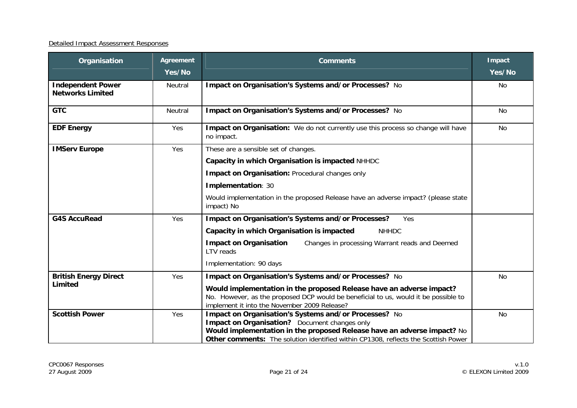| Organisation                                        | <b>Agreement</b><br>Yes/No | <b>Comments</b>                                                                                                                                                                                                                                                         | <b>Impact</b><br>Yes/No |
|-----------------------------------------------------|----------------------------|-------------------------------------------------------------------------------------------------------------------------------------------------------------------------------------------------------------------------------------------------------------------------|-------------------------|
| <b>Independent Power</b><br><b>Networks Limited</b> | Neutral                    | Impact on Organisation's Systems and/or Processes? No                                                                                                                                                                                                                   | No                      |
| <b>GTC</b>                                          | Neutral                    | Impact on Organisation's Systems and/or Processes? No                                                                                                                                                                                                                   | No                      |
| <b>EDF Energy</b>                                   | Yes                        | Impact on Organisation: We do not currently use this process so change will have<br>no impact.                                                                                                                                                                          | No                      |
| <b>IMServ Europe</b>                                | Yes                        | These are a sensible set of changes.                                                                                                                                                                                                                                    |                         |
|                                                     |                            | Capacity in which Organisation is impacted NHHDC                                                                                                                                                                                                                        |                         |
|                                                     |                            | Impact on Organisation: Procedural changes only                                                                                                                                                                                                                         |                         |
|                                                     |                            | Implementation: 30                                                                                                                                                                                                                                                      |                         |
|                                                     |                            | Would implementation in the proposed Release have an adverse impact? (please state<br>impact) No                                                                                                                                                                        |                         |
| <b>G4S AccuRead</b>                                 | Yes                        | Impact on Organisation's Systems and/or Processes?<br>Yes                                                                                                                                                                                                               |                         |
|                                                     |                            | Capacity in which Organisation is impacted<br><b>NHHDC</b>                                                                                                                                                                                                              |                         |
|                                                     |                            | <b>Impact on Organisation</b><br>Changes in processing Warrant reads and Deemed<br><b>I TV reads</b>                                                                                                                                                                    |                         |
|                                                     |                            | Implementation: 90 days                                                                                                                                                                                                                                                 |                         |
| <b>British Energy Direct</b><br>Limited             | Yes                        | Impact on Organisation's Systems and/or Processes? No                                                                                                                                                                                                                   | <b>No</b>               |
|                                                     |                            | Would implementation in the proposed Release have an adverse impact?<br>No. However, as the proposed DCP would be beneficial to us, would it be possible to<br>implement it into the November 2009 Release?                                                             |                         |
| <b>Scottish Power</b>                               | Yes                        | Impact on Organisation's Systems and/or Processes? No<br>Impact on Organisation? Document changes only<br>Would implementation in the proposed Release have an adverse impact? No<br>Other comments: The solution identified within CP1308, reflects the Scottish Power | No                      |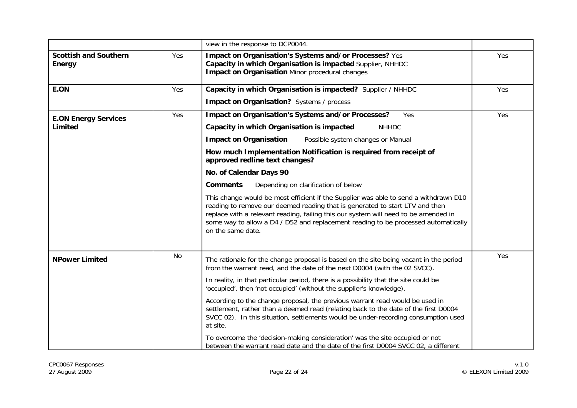|                                               |           | view in the response to DCP0044.                                                                                                                                                                                                                                                                                                                                       |     |
|-----------------------------------------------|-----------|------------------------------------------------------------------------------------------------------------------------------------------------------------------------------------------------------------------------------------------------------------------------------------------------------------------------------------------------------------------------|-----|
| <b>Scottish and Southern</b><br><b>Energy</b> | Yes       | Impact on Organisation's Systems and/or Processes? Yes<br>Capacity in which Organisation is impacted Supplier, NHHDC<br><b>Impact on Organisation Minor procedural changes</b>                                                                                                                                                                                         | Yes |
| E.ON                                          | Yes       | Capacity in which Organisation is impacted? Supplier / NHHDC                                                                                                                                                                                                                                                                                                           | Yes |
|                                               |           | Impact on Organisation? Systems / process                                                                                                                                                                                                                                                                                                                              |     |
| <b>E.ON Energy Services</b><br>Limited        | Yes       | Impact on Organisation's Systems and/or Processes?<br>Yes                                                                                                                                                                                                                                                                                                              | Yes |
|                                               |           | Capacity in which Organisation is impacted<br><b>NHHDC</b>                                                                                                                                                                                                                                                                                                             |     |
|                                               |           | <b>Impact on Organisation</b><br>Possible system changes or Manual                                                                                                                                                                                                                                                                                                     |     |
|                                               |           | How much Implementation Notification is required from receipt of<br>approved redline text changes?                                                                                                                                                                                                                                                                     |     |
|                                               |           | No. of Calendar Days 90                                                                                                                                                                                                                                                                                                                                                |     |
|                                               |           | <b>Comments</b><br>Depending on clarification of below                                                                                                                                                                                                                                                                                                                 |     |
|                                               |           | This change would be most efficient if the Supplier was able to send a withdrawn D10<br>reading to remove our deemed reading that is generated to start LTV and then<br>replace with a relevant reading, failing this our system will need to be amended in<br>some way to allow a D4 / D52 and replacement reading to be processed automatically<br>on the same date. |     |
| <b>NPower Limited</b>                         | <b>No</b> | The rationale for the change proposal is based on the site being vacant in the period<br>from the warrant read, and the date of the next D0004 (with the 02 SVCC).                                                                                                                                                                                                     | Yes |
|                                               |           | In reality, in that particular period, there is a possibility that the site could be<br>'occupied', then 'not occupied' (without the supplier's knowledge).                                                                                                                                                                                                            |     |
|                                               |           | According to the change proposal, the previous warrant read would be used in<br>settlement, rather than a deemed read (relating back to the date of the first D0004<br>SVCC 02). In this situation, settlements would be under-recording consumption used<br>at site.                                                                                                  |     |
|                                               |           | To overcome the 'decision-making consideration' was the site occupied or not<br>between the warrant read date and the date of the first D0004 SVCC 02, a different                                                                                                                                                                                                     |     |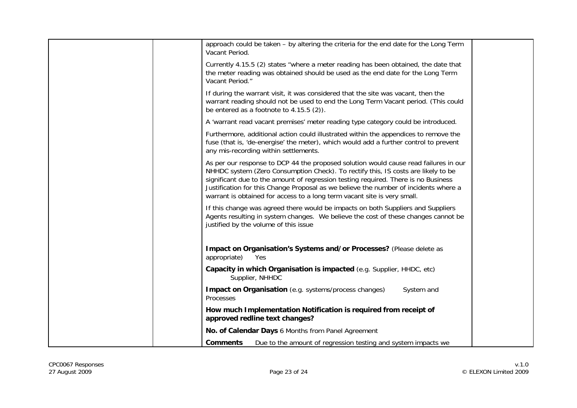| approach could be taken – by altering the criteria for the end date for the Long Term<br>Vacant Period.                                                                                                                                                                                                                                                                                                                             |  |
|-------------------------------------------------------------------------------------------------------------------------------------------------------------------------------------------------------------------------------------------------------------------------------------------------------------------------------------------------------------------------------------------------------------------------------------|--|
| Currently 4.15.5 (2) states "where a meter reading has been obtained, the date that<br>the meter reading was obtained should be used as the end date for the Long Term<br>Vacant Period."                                                                                                                                                                                                                                           |  |
| If during the warrant visit, it was considered that the site was vacant, then the<br>warrant reading should not be used to end the Long Term Vacant period. (This could<br>be entered as a footnote to $4.15.5$ (2)).                                                                                                                                                                                                               |  |
| A 'warrant read vacant premises' meter reading type category could be introduced.                                                                                                                                                                                                                                                                                                                                                   |  |
| Furthermore, additional action could illustrated within the appendices to remove the<br>fuse (that is, 'de-energise' the meter), which would add a further control to prevent<br>any mis-recording within settlements.                                                                                                                                                                                                              |  |
| As per our response to DCP 44 the proposed solution would cause read failures in our<br>NHHDC system (Zero Consumption Check). To rectify this, IS costs are likely to be<br>significant due to the amount of regression testing required. There is no Business<br>Justification for this Change Proposal as we believe the number of incidents where a<br>warrant is obtained for access to a long term vacant site is very small. |  |
| If this change was agreed there would be impacts on both Suppliers and Suppliers<br>Agents resulting in system changes. We believe the cost of these changes cannot be<br>justified by the volume of this issue                                                                                                                                                                                                                     |  |
| Impact on Organisation's Systems and/or Processes? (Please delete as<br>appropriate)<br>Yes                                                                                                                                                                                                                                                                                                                                         |  |
| Capacity in which Organisation is impacted (e.g. Supplier, HHDC, etc)<br>Supplier, NHHDC                                                                                                                                                                                                                                                                                                                                            |  |
| <b>Impact on Organisation</b> (e.g. systems/process changes)<br>System and<br>Processes                                                                                                                                                                                                                                                                                                                                             |  |
| How much Implementation Notification is required from receipt of<br>approved redline text changes?                                                                                                                                                                                                                                                                                                                                  |  |
| No. of Calendar Days 6 Months from Panel Agreement                                                                                                                                                                                                                                                                                                                                                                                  |  |
| Due to the amount of regression testing and system impacts we<br>Comments                                                                                                                                                                                                                                                                                                                                                           |  |